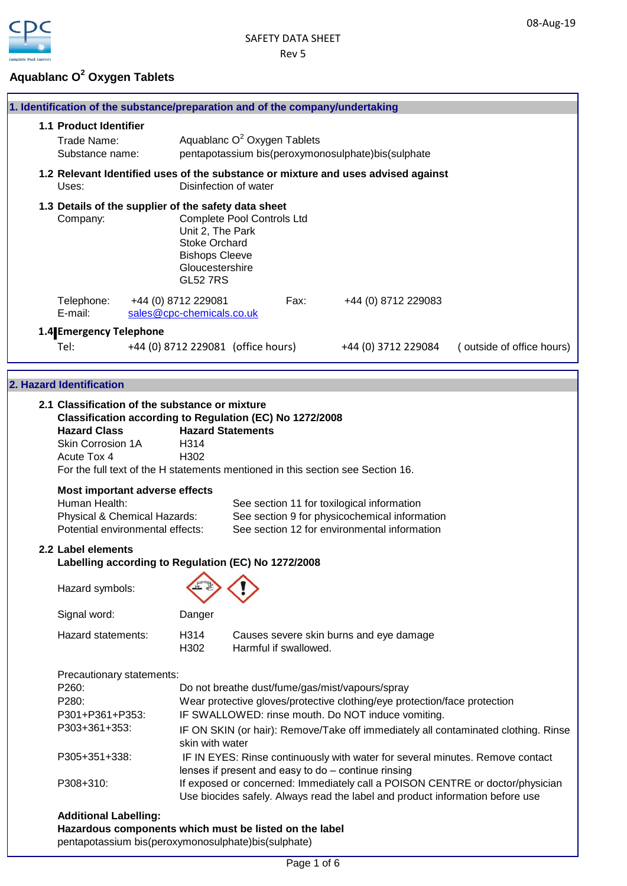## **Aquablanc O<sup>2</sup> Oxygen Tablets**

|                        | 1. Identification of the substance/preparation and of the company/undertaking                                                                                               |                                                  |                                         |      |                                                                                               |                           |
|------------------------|-----------------------------------------------------------------------------------------------------------------------------------------------------------------------------|--------------------------------------------------|-----------------------------------------|------|-----------------------------------------------------------------------------------------------|---------------------------|
| 1.1 Product Identifier |                                                                                                                                                                             |                                                  |                                         |      |                                                                                               |                           |
|                        | Trade Name:                                                                                                                                                                 |                                                  | Aquablanc O <sup>2</sup> Oxygen Tablets |      |                                                                                               |                           |
|                        | Substance name:                                                                                                                                                             |                                                  |                                         |      | pentapotassium bis(peroxymonosulphate)bis(sulphate                                            |                           |
|                        | Uses:                                                                                                                                                                       |                                                  | Disinfection of water                   |      | 1.2 Relevant Identified uses of the substance or mixture and uses advised against             |                           |
|                        | 1.3 Details of the supplier of the safety data sheet                                                                                                                        |                                                  |                                         |      |                                                                                               |                           |
|                        | <b>Complete Pool Controls Ltd</b><br>Company:<br>Unit 2, The Park<br><b>Stoke Orchard</b><br><b>Bishops Cleeve</b><br>Gloucestershire<br><b>GL52 7RS</b>                    |                                                  |                                         |      |                                                                                               |                           |
|                        | Telephone:<br>E-mail:                                                                                                                                                       | +44 (0) 8712 229081<br>sales@cpc-chemicals.co.uk |                                         | Fax: | +44 (0) 8712 229083                                                                           |                           |
|                        | 1.4 Emergency Telephone                                                                                                                                                     |                                                  |                                         |      |                                                                                               |                           |
|                        | Tel:                                                                                                                                                                        |                                                  | +44 (0) 8712 229081 (office hours)      |      | +44 (0) 3712 229084                                                                           | (outside of office hours) |
|                        |                                                                                                                                                                             |                                                  |                                         |      |                                                                                               |                           |
|                        | 2. Hazard Identification                                                                                                                                                    |                                                  |                                         |      |                                                                                               |                           |
|                        | 2.1 Classification of the substance or mixture                                                                                                                              |                                                  |                                         |      |                                                                                               |                           |
|                        | Classification according to Regulation (EC) No 1272/2008                                                                                                                    |                                                  |                                         |      |                                                                                               |                           |
|                        | <b>Hazard Class</b>                                                                                                                                                         |                                                  | <b>Hazard Statements</b>                |      |                                                                                               |                           |
|                        | Skin Corrosion 1A                                                                                                                                                           | H314                                             |                                         |      |                                                                                               |                           |
|                        | Acute Tox 4                                                                                                                                                                 | H <sub>302</sub>                                 |                                         |      |                                                                                               |                           |
|                        | For the full text of the H statements mentioned in this section see Section 16.                                                                                             |                                                  |                                         |      |                                                                                               |                           |
|                        | <b>Most important adverse effects</b>                                                                                                                                       |                                                  |                                         |      |                                                                                               |                           |
|                        | Human Health:                                                                                                                                                               |                                                  |                                         |      | See section 11 for toxilogical information                                                    |                           |
|                        | Physical & Chemical Hazards:<br>Potential environmental effects:                                                                                                            |                                                  |                                         |      | See section 9 for physicochemical information<br>See section 12 for environmental information |                           |
|                        | 2.2 Label elements                                                                                                                                                          |                                                  |                                         |      |                                                                                               |                           |
|                        | Labelling according to Regulation (EC) No 1272/2008                                                                                                                         |                                                  |                                         |      |                                                                                               |                           |
|                        | Hazard symbols:                                                                                                                                                             |                                                  |                                         |      |                                                                                               |                           |
|                        | Signal word:                                                                                                                                                                | Danger                                           |                                         |      |                                                                                               |                           |
|                        | Hazard statements:                                                                                                                                                          | H314<br>H302                                     | Harmful if swallowed.                   |      | Causes severe skin burns and eye damage                                                       |                           |
|                        | Precautionary statements:                                                                                                                                                   |                                                  |                                         |      |                                                                                               |                           |
|                        | P260:                                                                                                                                                                       |                                                  |                                         |      | Do not breathe dust/fume/gas/mist/vapours/spray                                               |                           |
|                        | P280:                                                                                                                                                                       |                                                  |                                         |      | Wear protective gloves/protective clothing/eye protection/face protection                     |                           |
|                        | P301+P361+P353:                                                                                                                                                             |                                                  |                                         |      | IF SWALLOWED: rinse mouth. Do NOT induce vomiting.                                            |                           |
|                        | P303+361+353:<br>IF ON SKIN (or hair): Remove/Take off immediately all contaminated clothing. Rinse<br>skin with water                                                      |                                                  |                                         |      |                                                                                               |                           |
|                        | P305+351+338:                                                                                                                                                               |                                                  |                                         |      | IF IN EYES: Rinse continuously with water for several minutes. Remove contact                 |                           |
|                        |                                                                                                                                                                             |                                                  |                                         |      | lenses if present and easy to do - continue rinsing                                           |                           |
|                        | If exposed or concerned: Immediately call a POISON CENTRE or doctor/physician<br>P308+310:<br>Use biocides safely. Always read the label and product information before use |                                                  |                                         |      |                                                                                               |                           |
|                        | <b>Additional Labelling:</b>                                                                                                                                                |                                                  |                                         |      |                                                                                               |                           |
|                        | Hazardous components which must be listed on the label                                                                                                                      |                                                  |                                         |      |                                                                                               |                           |
|                        | pentapotassium bis(peroxymonosulphate)bis(sulphate)                                                                                                                         |                                                  |                                         |      |                                                                                               |                           |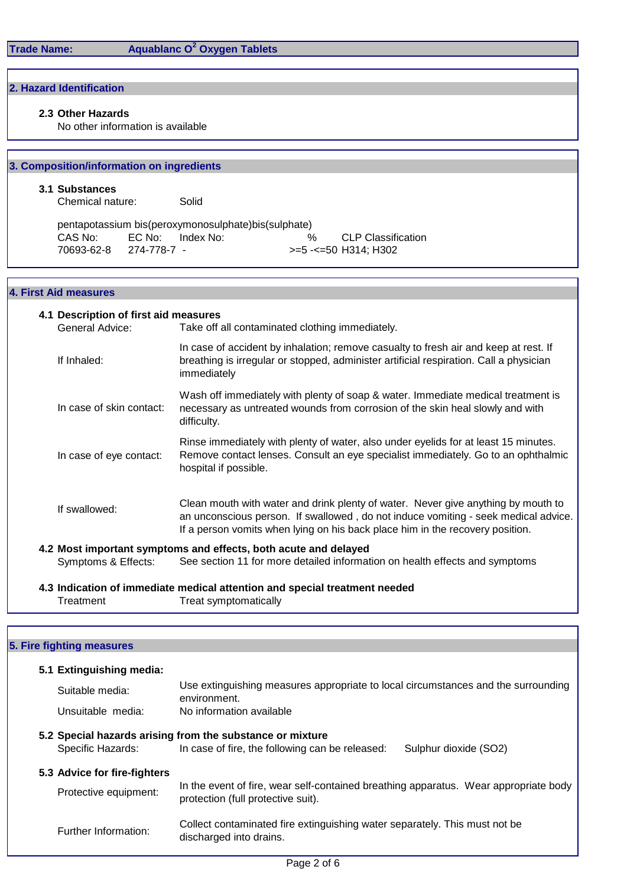# **Aquablanc O<sup>2</sup> Oxygen Tablets**

## **2. Hazard Identification**

### **2.3 Other Hazards**

No other information is available

## **3. Composition/information on ingredients**

#### **3.1 Substances**

Chemical nature: Solid

|            |                  | pentapotassium bis(peroxymonosulphate)bis(sulphate) |                      |
|------------|------------------|-----------------------------------------------------|----------------------|
| CAS No:    | EC No: Index No: | $\%$                                                | CLP Classification   |
| 70693-62-8 | 274-778-7 -      |                                                     | >=5 -<=50 H314: H302 |

## **4. First Aid measures**

| 4.1 Description of first aid measures |                                                                                                                                                                                                                                                          |  |  |  |
|---------------------------------------|----------------------------------------------------------------------------------------------------------------------------------------------------------------------------------------------------------------------------------------------------------|--|--|--|
| General Advice:                       | Take off all contaminated clothing immediately.                                                                                                                                                                                                          |  |  |  |
| If Inhaled:                           | In case of accident by inhalation; remove casualty to fresh air and keep at rest. If<br>breathing is irregular or stopped, administer artificial respiration. Call a physician<br>immediately                                                            |  |  |  |
| In case of skin contact:              | Wash off immediately with plenty of soap & water. Immediate medical treatment is<br>necessary as untreated wounds from corrosion of the skin heal slowly and with<br>difficulty.                                                                         |  |  |  |
| In case of eye contact:               | Rinse immediately with plenty of water, also under eyelids for at least 15 minutes.<br>Remove contact lenses. Consult an eye specialist immediately. Go to an ophthalmic<br>hospital if possible.                                                        |  |  |  |
| If swallowed:                         | Clean mouth with water and drink plenty of water. Never give anything by mouth to<br>an unconscious person. If swallowed, do not induce vomiting - seek medical advice.<br>If a person vomits when lying on his back place him in the recovery position. |  |  |  |
|                                       | 4.2 Most important symptoms and effects, both acute and delayed                                                                                                                                                                                          |  |  |  |
| Symptoms & Effects:                   | See section 11 for more detailed information on health effects and symptoms                                                                                                                                                                              |  |  |  |
|                                       | 4.3 Indication of immediate medical attention and special treatment needed                                                                                                                                                                               |  |  |  |
| Treatment                             | Treat symptomatically                                                                                                                                                                                                                                    |  |  |  |

## **5. Fire fighting measures**

| 5.1 Extinguishing media:     |                                                                                                                                       |  |  |
|------------------------------|---------------------------------------------------------------------------------------------------------------------------------------|--|--|
| Suitable media:              | Use extinguishing measures appropriate to local circumstances and the surrounding<br>environment.                                     |  |  |
| Unsuitable media:            | No information available                                                                                                              |  |  |
| Specific Hazards:            | 5.2 Special hazards arising from the substance or mixture<br>In case of fire, the following can be released:<br>Sulphur dioxide (SO2) |  |  |
| 5.3 Advice for fire-fighters |                                                                                                                                       |  |  |
| Protective equipment:        | In the event of fire, wear self-contained breathing apparatus. Wear appropriate body<br>protection (full protective suit).            |  |  |
| Further Information:         | Collect contaminated fire extinguishing water separately. This must not be<br>discharged into drains.                                 |  |  |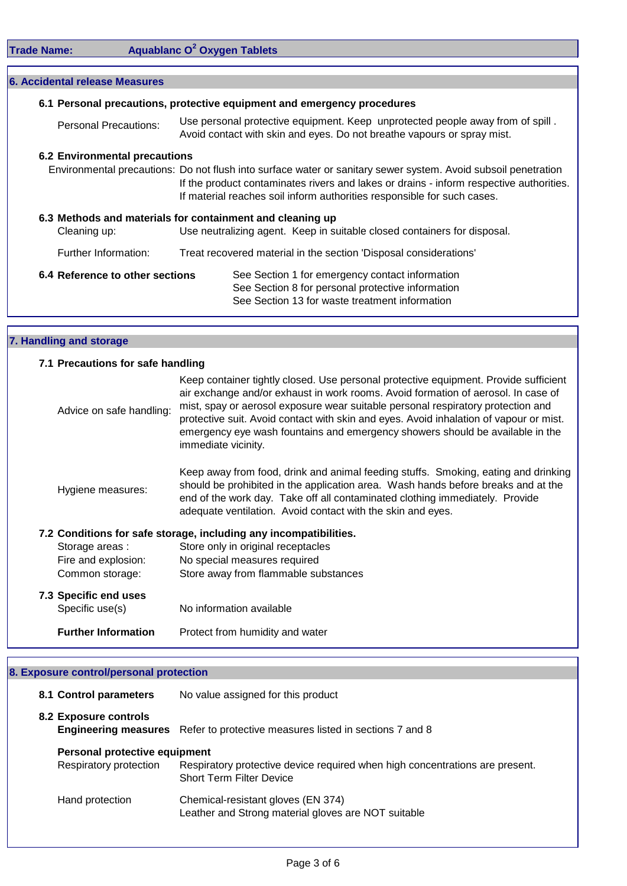|  | <b>Trade Name:</b> |  |
|--|--------------------|--|
|  |                    |  |

**Trade Name: Aquablanc O<sup>2</sup> Oxygen Tablets**

|                      | <b>6. Accidental release Measures</b>                                                                                                                                                                                                                                                |                                                                                                                                                           |                                                                                                                                                        |  |  |  |
|----------------------|--------------------------------------------------------------------------------------------------------------------------------------------------------------------------------------------------------------------------------------------------------------------------------------|-----------------------------------------------------------------------------------------------------------------------------------------------------------|--------------------------------------------------------------------------------------------------------------------------------------------------------|--|--|--|
|                      | 6.1 Personal precautions, protective equipment and emergency procedures                                                                                                                                                                                                              |                                                                                                                                                           |                                                                                                                                                        |  |  |  |
|                      | Personal Precautions:                                                                                                                                                                                                                                                                | Use personal protective equipment. Keep unprotected people away from of spill.<br>Avoid contact with skin and eyes. Do not breathe vapours or spray mist. |                                                                                                                                                        |  |  |  |
|                      | <b>6.2 Environmental precautions</b>                                                                                                                                                                                                                                                 |                                                                                                                                                           |                                                                                                                                                        |  |  |  |
|                      | Environmental precautions: Do not flush into surface water or sanitary sewer system. Avoid subsoil penetration<br>If the product contaminates rivers and lakes or drains - inform respective authorities.<br>If material reaches soil inform authorities responsible for such cases. |                                                                                                                                                           |                                                                                                                                                        |  |  |  |
|                      | 6.3 Methods and materials for containment and cleaning up<br>Use neutralizing agent. Keep in suitable closed containers for disposal.<br>Cleaning up:                                                                                                                                |                                                                                                                                                           |                                                                                                                                                        |  |  |  |
| Further Information: |                                                                                                                                                                                                                                                                                      |                                                                                                                                                           | Treat recovered material in the section 'Disposal considerations'                                                                                      |  |  |  |
|                      | 6.4 Reference to other sections                                                                                                                                                                                                                                                      |                                                                                                                                                           | See Section 1 for emergency contact information<br>See Section 8 for personal protective information<br>See Section 13 for waste treatment information |  |  |  |

## **7. Handling and storage**

| 7.1 Precautions for safe handling                                 |                                                                                                                                                                                                                                                                                                                                                                                                                                                                 |  |  |  |  |
|-------------------------------------------------------------------|-----------------------------------------------------------------------------------------------------------------------------------------------------------------------------------------------------------------------------------------------------------------------------------------------------------------------------------------------------------------------------------------------------------------------------------------------------------------|--|--|--|--|
| Advice on safe handling:                                          | Keep container tightly closed. Use personal protective equipment. Provide sufficient<br>air exchange and/or exhaust in work rooms. Avoid formation of aerosol. In case of<br>mist, spay or aerosol exposure wear suitable personal respiratory protection and<br>protective suit. Avoid contact with skin and eyes. Avoid inhalation of vapour or mist.<br>emergency eye wash fountains and emergency showers should be available in the<br>immediate vicinity. |  |  |  |  |
| Hygiene measures:                                                 | Keep away from food, drink and animal feeding stuffs. Smoking, eating and drinking<br>should be prohibited in the application area. Wash hands before breaks and at the<br>end of the work day. Take off all contaminated clothing immediately. Provide<br>adequate ventilation. Avoid contact with the skin and eyes.                                                                                                                                          |  |  |  |  |
| 7.2 Conditions for safe storage, including any incompatibilities. |                                                                                                                                                                                                                                                                                                                                                                                                                                                                 |  |  |  |  |
| Storage areas :                                                   | Store only in original receptacles                                                                                                                                                                                                                                                                                                                                                                                                                              |  |  |  |  |
| Fire and explosion:                                               | No special measures required                                                                                                                                                                                                                                                                                                                                                                                                                                    |  |  |  |  |
| Common storage:                                                   | Store away from flammable substances                                                                                                                                                                                                                                                                                                                                                                                                                            |  |  |  |  |
| 7.3 Specific end uses<br>Specific use(s)                          | No information available                                                                                                                                                                                                                                                                                                                                                                                                                                        |  |  |  |  |
| <b>Further Information</b>                                        | Protect from humidity and water                                                                                                                                                                                                                                                                                                                                                                                                                                 |  |  |  |  |

# **8. Exposure control/personal protection**

| 8.1 Control parameters |                               | No value assigned for this product                                                                              |  |
|------------------------|-------------------------------|-----------------------------------------------------------------------------------------------------------------|--|
| 8.2 Exposure controls  |                               | <b>Engineering measures</b> Refer to protective measures listed in sections 7 and 8                             |  |
|                        | Personal protective equipment |                                                                                                                 |  |
|                        | Respiratory protection        | Respiratory protective device required when high concentrations are present.<br><b>Short Term Filter Device</b> |  |
| Hand protection        |                               | Chemical-resistant gloves (EN 374)<br>Leather and Strong material gloves are NOT suitable                       |  |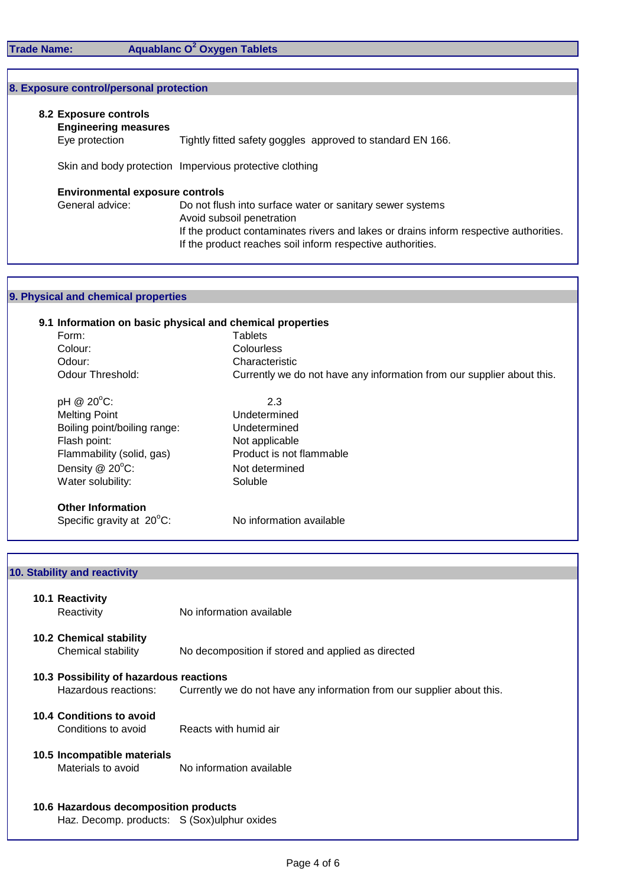### **Trade Name: Aquablanc O<sup>2</sup> Oxygen Tablets**

#### **8. Exposure control/personal protection**

#### **8.2 Exposure controls**

**Engineering measures**

Eye protection Tightly fitted safety goggles approved to standard EN 166.

Skin and body protection Impervious protective clothing

#### **Environmental exposure controls**

General advice: Do not flush into surface water or sanitary sewer systems Avoid subsoil penetration If the product contaminates rivers and lakes or drains inform respective authorities. If the product reaches soil inform respective authorities.

## **9. Physical and chemical properties**

## **9.1 Information on basic physical and chemical properties** Form: Tablets Colour: Colourless Odour:<br>
Odour Threshold:<br>
Odour Threshold:<br>
Currently we define Currently we do not have any information from our supplier about this.  $pH \tQ 20^{\circ}C$ : 2.3 Melting Point Boiling point/boiling range: Undetermined Flash point: Not applicable Flammability (solid, gas) Product is not flammable Density @ 20°C: Not determined Water solubility: Soluble **Other Information**  Undetermined

| Specific gravity at $20^{\circ}$ C: | No information available |
|-------------------------------------|--------------------------|
|                                     |                          |

# **10.1 Reactivity** Reactivity Mo information available **10.2 Chemical stability** Chemical stability No decomposition if stored and applied as directed **10.3 Possibility of hazardous reactions** Hazardous reactions: Currently we do not have any information from our supplier about this. **10.4 Conditions to avoid** Conditions to avoid Reacts with humid air **10.5 Incompatible materials** Materials to avoid No information available **10.6 Hazardous decomposition products 10. Stability and reactivity**

Haz. Decomp. products: S (Sox)ulphur oxides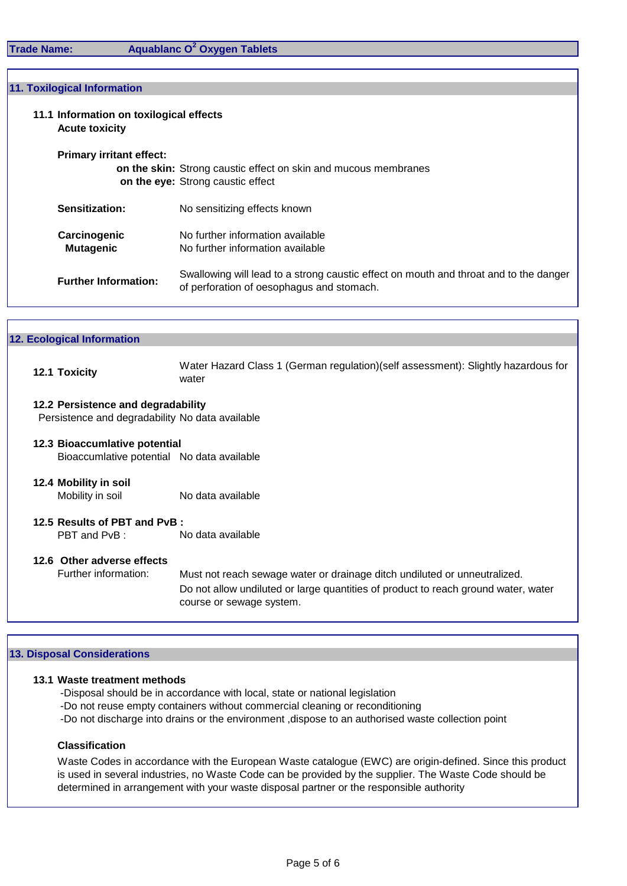## **Aquablanc O<sup>2</sup> Oxygen Tablets**

#### **11. Toxilogical Information**

- **11.1 Information on toxilogical effects Acute toxicity**
	- **Primary irritant effect:**

**on the skin:** Strong caustic effect on skin and mucous membranes **on the eye:** Strong caustic effect

| Carcinogenic | No further information available |
|--------------|----------------------------------|
| Mutagenic    | No further information available |

**Further Information:** Swallowing will lead to a strong caustic effect on mouth and throat and to the danger of perforation of oesophagus and stomach.

|  | <b>12. Ecological Information</b> |
|--|-----------------------------------|
|  |                                   |

**12.1 Toxicity** Water Hazard Class 1 (German regulation)(self assessment): Slightly hazardous for water

#### **12.2 Persistence and degradability**

Persistence and degradability No data available

## **12.3 Bioaccumlative potential** Bioaccumlative potential No data available

**12.4 Mobility in soil** Mobility in soil No data available

#### **12.5 Results of PBT and PvB :** PBT and PvB : No data available

## **12.6 Other adverse effects**

Further information: Must not reach sewage water or drainage ditch undiluted or unneutralized. Do not allow undiluted or large quantities of product to reach ground water, water course or sewage system.

#### **13. Disposal Considerations**

#### **13.1 Waste treatment methods**

- -Disposal should be in accordance with local, state or national legislation
- -Do not reuse empty containers without commercial cleaning or reconditioning
- -Do not discharge into drains or the environment ,dispose to an authorised waste collection point

#### **Classification**

Waste Codes in accordance with the European Waste catalogue (EWC) are origin-defined. Since this product is used in several industries, no Waste Code can be provided by the supplier. The Waste Code should be determined in arrangement with your waste disposal partner or the responsible authority